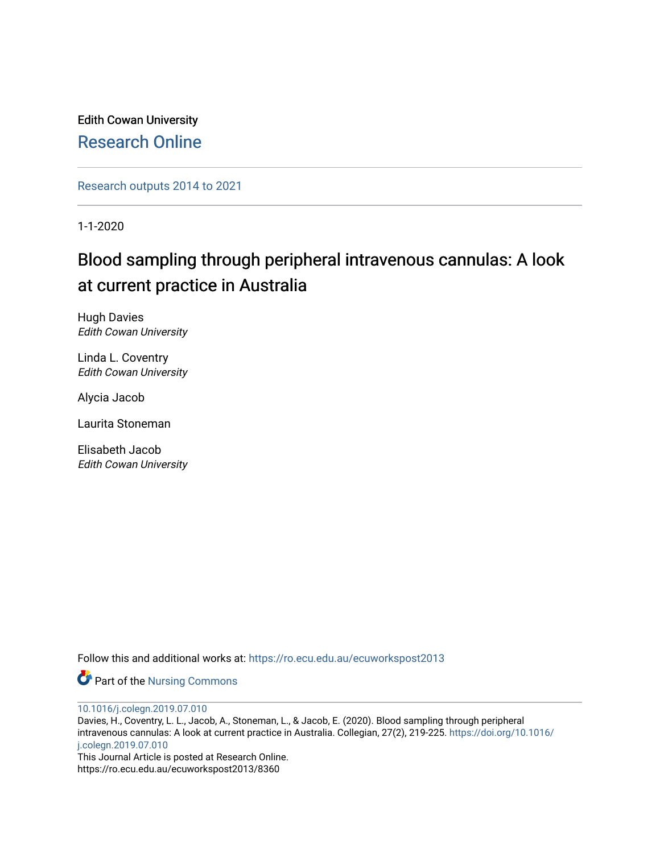Edith Cowan University [Research Online](https://ro.ecu.edu.au/) 

[Research outputs 2014 to 2021](https://ro.ecu.edu.au/ecuworkspost2013) 

1-1-2020

## Blood sampling through peripheral intravenous cannulas: A look at current practice in Australia

Hugh Davies Edith Cowan University

Linda L. Coventry Edith Cowan University

Alycia Jacob

Laurita Stoneman

Elisabeth Jacob Edith Cowan University

Follow this and additional works at: [https://ro.ecu.edu.au/ecuworkspost2013](https://ro.ecu.edu.au/ecuworkspost2013?utm_source=ro.ecu.edu.au%2Fecuworkspost2013%2F8360&utm_medium=PDF&utm_campaign=PDFCoverPages) 

Part of the [Nursing Commons](http://network.bepress.com/hgg/discipline/718?utm_source=ro.ecu.edu.au%2Fecuworkspost2013%2F8360&utm_medium=PDF&utm_campaign=PDFCoverPages) 

[10.1016/j.colegn.2019.07.010](http://dx.doi.org/10.1016/j.colegn.2019.07.010)

Davies, H., Coventry, L. L., Jacob, A., Stoneman, L., & Jacob, E. (2020). Blood sampling through peripheral intravenous cannulas: A look at current practice in Australia. Collegian, 27(2), 219-225. [https://doi.org/10.1016/](https://doi.org/10.1016/j.colegn.2019.07.010) [j.colegn.2019.07.010](https://doi.org/10.1016/j.colegn.2019.07.010) 

This Journal Article is posted at Research Online. https://ro.ecu.edu.au/ecuworkspost2013/8360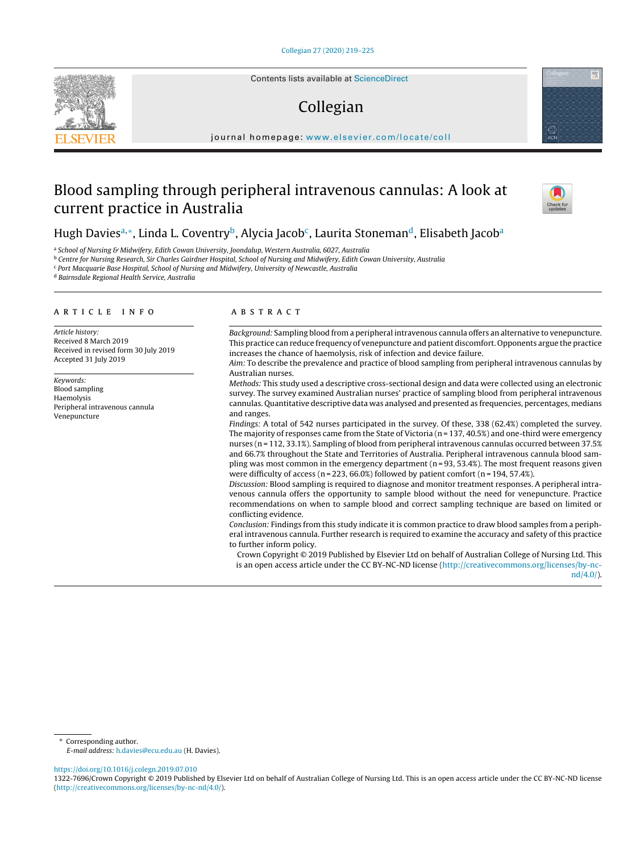Contents lists available at [ScienceDirect](http://www.sciencedirect.com/science/journal/13227696)

# Collegian

jou rnal h omepage: [www.elsevier.com/locate/coll](http://www.elsevier.com/locate/coll)

## Blood sampling through peripheral intravenous cannulas: A look at current practice in Australia



### Hugh Davies<sup>a,∗</sup>, Linda L. Coventry<sup>b</sup>, Alycia Jacob<sup>c</sup>, Laurita Stoneman<sup>d</sup>, Elisabeth Jacob<sup>a</sup>

a School of Nursing & Midwifery, Edith Cowan University, Joondalup, Western Australia, 6027, Australia

**b Centre for Nursing Research, Sir Charles Gairdner Hospital, School of Nursing and Midwifery, Edith Cowan University, Australia** 

<sup>c</sup> Port Macquarie Base Hospital, School of Nursing and Midwifery, University of Newcastle, Australia

<sup>d</sup> Bairnsdale Regional Health Service, Australia

#### a r t i c l e i n f o

Article history: Received 8 March 2019 Received in revised form 30 July 2019 Accepted 31 July 2019

Keywords: Blood sampling Haemolysis Peripheral intravenous cannula Venepuncture

#### A B S T R A C T

Background: Sampling blood from a peripheral intravenous cannula offers an alternative to venepuncture. This practice can reduce frequency of venepuncture and patient discomfort. Opponents argue the practice increases the chance of haemolysis, risk of infection and device failure.

Aim: To describe the prevalence and practice of blood sampling from peripheral intravenous cannulas by Australian nurses.

Methods: This study used a descriptive cross-sectional design and data were collected using an electronic survey. The survey examined Australian nurses' practice of sampling blood from peripheral intravenous cannulas. Quantitative descriptive data was analysed and presented as frequencies, percentages, medians and ranges.

Findings: A total of 542 nurses participated in the survey. Of these, 338 (62.4%) completed the survey. The majority of responses came from the State of Victoria ( $n = 137, 40.5\%$ ) and one-third were emergency nurses (n = 112, 33.1%). Sampling of blood from peripheral intravenous cannulas occurred between 37.5% and 66.7% throughout the State and Territories of Australia. Peripheral intravenous cannula blood sampling was most common in the emergency department ( $n = 93, 53.4\%$ ). The most frequent reasons given were difficulty of access ( $n = 223, 66.0\%$ ) followed by patient comfort ( $n = 194, 57.4\%$ ).

Discussion: Blood sampling is required to diagnose and monitor treatment responses. A peripheral intravenous cannula offers the opportunity to sample blood without the need for venepuncture. Practice recommendations on when to sample blood and correct sampling technique are based on limited or conflicting evidence.

Conclusion: Findings from this study indicate it is common practice to draw blood samples from a peripheral intravenous cannula. Further research is required to examine the accuracy and safety of this practice to further inform policy.

Crown Copyright © 2019 Published by Elsevier Ltd on behalf of Australian College of Nursing Ltd. This is an open access article under the CC BY-NC-ND license [\(http://creativecommons.org/licenses/by-nc](http://creativecommons.org/licenses/by-nc-nd/4.0/)[nd/4.0/](http://creativecommons.org/licenses/by-nc-nd/4.0/)).

∗ Corresponding author.

E-mail address: [h.davies@ecu.edu.au](mailto:h.davies@ecu.edu.au) (H. Davies).

<https://doi.org/10.1016/j.colegn.2019.07.010>

1322-7696/Crown Copyright © 2019 Published by Elsevier Ltd on behalf of Australian College of Nursing Ltd. This is an open access article under the CC BY-NC-ND license [\(http://creativecommons.org/licenses/by-nc-nd/4.0/\)](http://creativecommons.org/licenses/by-nc-nd/4.0/).

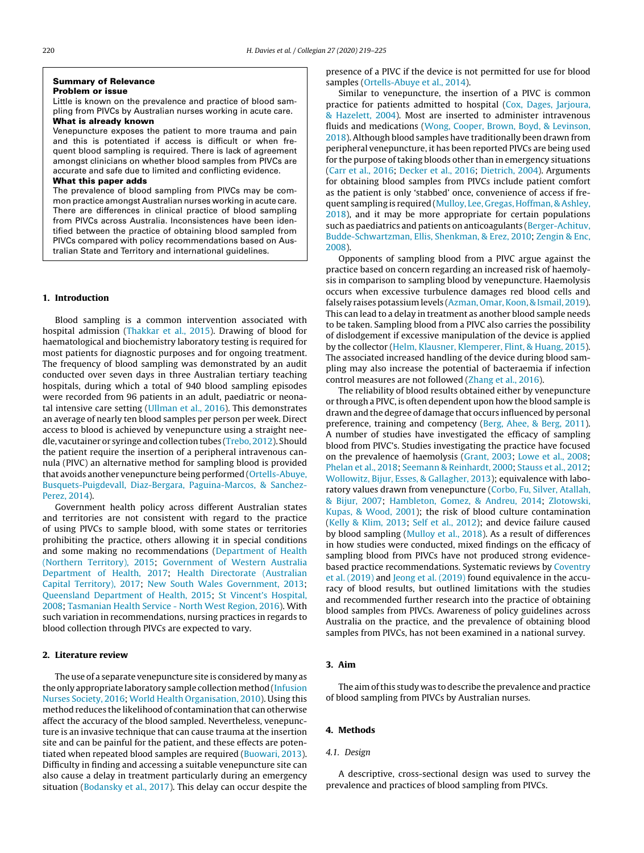#### **Summary of Relevance Problem or issue**

Little is known on the prevalence and practice of blood sampling from PIVCs by Australian nurses working in acute care. **What is already known**

Venepuncture exposes the patient to more trauma and pain and this is potentiated if access is difficult or when frequent blood sampling is required. There is lack of agreement amongst clinicians on whether blood samples from PIVCs are accurate and safe due to limited and conflicting evidence.

#### **What this paper adds**

The prevalence of blood sampling from PIVCs may be common practice amongst Australian nurses working in acute care. There are differences in clinical practice of blood sampling from PIVCs across Australia. Inconsistences have been identified between the practice of obtaining blood sampled from PIVCs compared with policy recommendations based on Australian State and Territory and international guidelines.

#### **1. Introduction**

Blood sampling is a common intervention associated with hospital admission [\(Thakkar](#page-7-0) et [al.,](#page-7-0) [2015\).](#page-7-0) Drawing of blood for haematological and biochemistry laboratory testing is required for most patients for diagnostic purposes and for ongoing treatment. The frequency of blood sampling was demonstrated by an audit conducted over seven days in three Australian tertiary teaching hospitals, during which a total of 940 blood sampling episodes were recorded from 96 patients in an adult, paediatric or neonatal intensive care setting [\(Ullman](#page-7-0) et [al.,](#page-7-0) [2016\).](#page-7-0) This demonstrates an average of nearly ten blood samples per person per week. Direct access to blood is achieved by venepuncture using a straight needle, vacutainer or syringe and collection tubes [\(Trebo,](#page-7-0) [2012\).](#page-7-0) Should the patient require the insertion of a peripheral intravenous cannula (PIVC) an alternative method for sampling blood is provided that avoids another venepuncture being performed ([Ortells-Abuye,](#page-7-0) [Busquets-Puigdevall,](#page-7-0) [Diaz-Bergara,](#page-7-0) [Paguina-Marcos,](#page-7-0) [&](#page-7-0) [Sanchez-](#page-7-0)Perez, [2014\).](#page-7-0)

Government health policy across different Australian states and territories are not consistent with regard to the practice of using PIVCs to sample blood, with some states or territories prohibiting the practice, others allowing it in special conditions and some making no recommendations ([Department](#page-6-0) [of](#page-6-0) [Health](#page-6-0) [\(Northern](#page-6-0) [Territory\),](#page-6-0) [2015;](#page-6-0) [Government](#page-6-0) [of](#page-6-0) [Western](#page-6-0) [Australia](#page-6-0) [Department](#page-6-0) [of](#page-6-0) [Health,](#page-6-0) [2017;](#page-6-0) [Health](#page-6-0) [Directorate](#page-6-0) [\(Australian](#page-6-0) [Capital](#page-6-0) [Territory\),](#page-6-0) [2017;](#page-6-0) [New](#page-7-0) [South](#page-7-0) [Wales](#page-7-0) [Government,](#page-7-0) [2013;](#page-7-0) [Queensland](#page-7-0) [Department](#page-7-0) [of](#page-7-0) [Health,](#page-7-0) [2015;](#page-7-0) [St](#page-7-0) [Vincent's](#page-7-0) [Hospital,](#page-7-0) [2008;](#page-7-0) [Tasmanian](#page-7-0) [Health](#page-7-0) [Service](#page-7-0) [-](#page-7-0) [North](#page-7-0) [West](#page-7-0) [Region,](#page-7-0) [2016\).](#page-7-0) With such variation in recommendations, nursing practices in regards to blood collection through PIVCs are expected to vary.

#### **2. Literature review**

The use of a separate venepuncture site is considered by many as the only appropriate laboratory sample collection method [\(Infusion](#page-6-0) [Nurses](#page-6-0) [Society,](#page-6-0) [2016;](#page-6-0) [World](#page-7-0) [Health](#page-7-0) [Organisation,](#page-7-0) [2010\).](#page-7-0) Using this method reduces the likelihood of contamination that can otherwise affect the accuracy of the blood sampled. Nevertheless, venepuncture is an invasive technique that can cause trauma at the insertion site and can be painful for the patient, and these effects are potentiated when repeated blood samples are required [\(Buowari,](#page-6-0) [2013\).](#page-6-0) Difficulty in finding and accessing a suitable venepuncture site can also cause a delay in treatment particularly during an emergency situation [\(Bodansky](#page-6-0) et [al.,](#page-6-0) [2017\).](#page-6-0) This delay can occur despite the

presence of a PIVC if the device is not permitted for use for blood samples ([Ortells-Abuye](#page-7-0) et [al.,](#page-7-0) [2014\).](#page-7-0)

Similar to venepuncture, the insertion of a PIVC is common practice for patients admitted to hospital [\(Cox,](#page-6-0) [Dages,](#page-6-0) [Jarjoura,](#page-6-0) [&](#page-6-0) [Hazelett,](#page-6-0) [2004\).](#page-6-0) Most are inserted to administer intravenous fluids and medications [\(Wong,](#page-7-0) [Cooper,](#page-7-0) [Brown,](#page-7-0) [Boyd,](#page-7-0) [&](#page-7-0) [Levinson,](#page-7-0) [2018\).](#page-7-0) Although blood samples have traditionally been drawn from peripheral venepuncture, it has been reported PIVCs are being used for the purpose of taking bloods other than in emergency situations [\(Carr](#page-6-0) et [al.,](#page-6-0) [2016;](#page-6-0) [Decker](#page-6-0) et [al.,](#page-6-0) [2016;](#page-6-0) [Dietrich,](#page-6-0) [2004\).](#page-6-0) Arguments for obtaining blood samples from PIVCs include patient comfort as the patient is only 'stabbed' once, convenience of access if frequent sampling is required [\(Mulloy,](#page-7-0) [Lee,](#page-7-0) [Gregas,](#page-7-0) [Hoffman,](#page-7-0) [&](#page-7-0) [Ashley,](#page-7-0) [2018\),](#page-7-0) and it may be more appropriate for certain populations such as paediatrics and patients on anticoagulants [\(Berger-Achituv,](#page-6-0) [Budde-Schwartzman,](#page-6-0) [Ellis,](#page-6-0) [Shenkman,](#page-6-0) [&](#page-6-0) [Erez,](#page-6-0) [2010;](#page-6-0) [Zengin](#page-7-0) [&](#page-7-0) [Enc,](#page-7-0) [2008\).](#page-7-0)

Opponents of sampling blood from a PIVC argue against the practice based on concern regarding an increased risk of haemolysis in comparison to sampling blood by venepuncture. Haemolysis occurs when excessive turbulence damages red blood cells and falsely raises potassium levels ([Azman,](#page-6-0) Omar, Koon, [&](#page-6-0) [Ismail,](#page-6-0) [2019\).](#page-6-0) This can lead to a delay in treatment as another blood sample needs to be taken. Sampling blood from a PIVC also carries the possibility of dislodgement if excessive manipulation of the device is applied by the collector [\(Helm,](#page-6-0) [Klausner,](#page-6-0) [Klemperer,](#page-6-0) [Flint,](#page-6-0) [&](#page-6-0) [Huang,](#page-6-0) [2015\).](#page-6-0) The associated increased handling of the device during blood sampling may also increase the potential of bacteraemia if infection control measures are not followed [\(Zhang](#page-7-0) et [al.,](#page-7-0) [2016\).](#page-7-0)

The reliability of blood results obtained either by venepuncture or through a PIVC, is often dependent upon how the blood sample is drawn and the degree of damage that occurs influenced by personal preference, training and competency [\(Berg,](#page-6-0) [Ahee,](#page-6-0) [&](#page-6-0) [Berg,](#page-6-0) [2011\).](#page-6-0) A number of studies have investigated the efficacy of sampling blood from PIVC's. Studies investigating the practice have focused on the prevalence of haemolysis ([Grant,](#page-6-0) [2003;](#page-6-0) [Lowe](#page-6-0) et [al.,](#page-6-0) [2008;](#page-6-0) [Phelan](#page-7-0) et [al.,](#page-7-0) [2018;](#page-7-0) [Seemann](#page-7-0) [&](#page-7-0) [Reinhardt,](#page-7-0) [2000;](#page-7-0) [Stauss](#page-7-0) et [al.,](#page-7-0) [2012;](#page-7-0) [Wollowitz,](#page-7-0) [Bijur,](#page-7-0) [Esses,](#page-7-0) [&](#page-7-0) [Gallagher,](#page-7-0) [2013\);](#page-7-0) equivalence with laboratory values drawn from venepuncture ([Corbo,](#page-6-0) [Fu,](#page-6-0) [Silver,](#page-6-0) [Atallah,](#page-6-0) [&](#page-6-0) [Bijur,](#page-6-0) [2007;](#page-6-0) [Hambleton,](#page-6-0) [Gomez,](#page-6-0) [&](#page-6-0) [Andreu,](#page-6-0) [2014;](#page-6-0) [Zlotowski,](#page-7-0) [Kupas,](#page-7-0) [&](#page-7-0) [Wood,](#page-7-0) [2001\);](#page-7-0) the risk of blood culture contamination [\(Kelly](#page-6-0) [&](#page-6-0) [Klim,](#page-6-0) [2013;](#page-6-0) [Self](#page-7-0) et [al.,](#page-7-0) [2012\);](#page-7-0) and device failure caused by blood sampling [\(Mulloy](#page-7-0) et [al.,](#page-7-0) [2018\).](#page-7-0) As a result of differences in how studies were conducted, mixed findings on the efficacy of sampling blood from PIVCs have not produced strong evidencebased practice recommendations. Systematic reviews by [Coventry](#page-6-0) et [al.](#page-6-0) [\(2019\)](#page-6-0) and [Jeong](#page-6-0) et [al.](#page-6-0) [\(2019\)](#page-6-0) found equivalence in the accuracy of blood results, but outlined limitations with the studies and recommended further research into the practice of obtaining blood samples from PIVCs. Awareness of policy guidelines across Australia on the practice, and the prevalence of obtaining blood samples from PIVCs, has not been examined in a national survey.

#### **3. Aim**

The aim of this study was to describe the prevalence and practice of blood sampling from PIVCs by Australian nurses.

#### **4. Methods**

#### 4.1. Design

A descriptive, cross-sectional design was used to survey the prevalence and practices of blood sampling from PIVCs.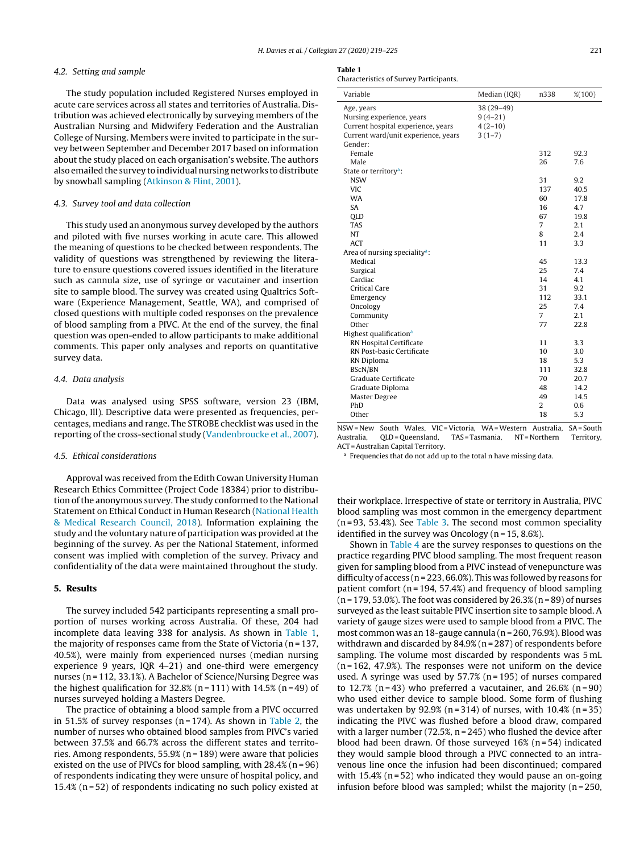#### 4.2. Setting and sample

The study population included Registered Nurses employed in acute care services across all states and territories of Australia. Distribution was achieved electronically by surveying members of the Australian Nursing and Midwifery Federation and the Australian College of Nursing. Members were invited to participate in the survey between September and December 2017 based on information about the study placed on each organisation's website. The authors also emailed the survey to individual nursing networks to distribute by snowball sampling [\(Atkinson](#page-6-0) [&](#page-6-0) [Flint,](#page-6-0) [2001\).](#page-6-0)

#### 4.3. Survey tool and data collection

This study used an anonymous survey developed by the authors and piloted with five nurses working in acute care. This allowed the meaning of questions to be checked between respondents. The validity of questions was strengthened by reviewing the literature to ensure questions covered issues identified in the literature such as cannula size, use of syringe or vacutainer and insertion site to sample blood. The survey was created using Qualtrics Software (Experience Management, Seattle, WA), and comprised of closed questions with multiple coded responses on the prevalence of blood sampling from a PIVC. At the end of the survey, the final question was open-ended to allow participants to make additional comments. This paper only analyses and reports on quantitative survey data.

#### 4.4. Data analysis

Data was analysed using SPSS software, version 23 (IBM, Chicago, Ill). Descriptive data were presented as frequencies, percentages, medians and range. The STROBE checklist was used in the reporting of the cross-sectional study [\(Vandenbroucke](#page-7-0) et [al.,](#page-7-0) [2007\).](#page-7-0)

#### 4.5. Ethical considerations

Approval was received from the Edith Cowan University Human Research Ethics Committee (Project Code 18384) prior to distribution of the anonymous survey. The study conformed to the National Statement on Ethical Conduct in Human Research ([National](#page-7-0) [Health](#page-7-0) [&](#page-7-0) [Medical](#page-7-0) [Research](#page-7-0) [Council,](#page-7-0) [2018\).](#page-7-0) Information explaining the study and the voluntary nature of participation was provided at the beginning of the survey. As per the National Statement, informed consent was implied with completion of the survey. Privacy and confidentiality of the data were maintained throughout the study.

#### **5. Results**

The survey included 542 participants representing a small proportion of nurses working across Australia. Of these, 204 had incomplete data leaving 338 for analysis. As shown in Table 1, the majority of responses came from the State of Victoria (n = 137, 40.5%), were mainly from experienced nurses (median nursing experience 9 years, IQR 4–21) and one-third were emergency nurses (n = 112, 33.1%). A Bachelor of Science/Nursing Degree was the highest qualification for  $32.8\%$  (n = 111) with  $14.5\%$  (n = 49) of nurses surveyed holding a Masters Degree.

The practice of obtaining a blood sample from a PIVC occurred in 51.5% of survey responses ( $n = 174$ ). As shown in [Table](#page-4-0) 2, the number of nurses who obtained blood samples from PIVC's varied between 37.5% and 66.7% across the different states and territories. Among respondents, 55.9% (n = 189) were aware that policies existed on the use of PIVCs for blood sampling, with  $28.4\%$  (n = 96) of respondents indicating they were unsure of hospital policy, and 15.4% (n = 52) of respondents indicating no such policy existed at

#### **Table 1**

Characteristics of Survey Participants.

| Variable                                  | Median (IQR) | n338           | % (100) |
|-------------------------------------------|--------------|----------------|---------|
| Age, years                                | 38 (29-49)   |                |         |
| Nursing experience, years                 | $9(4-21)$    |                |         |
| Current hospital experience, years        | $4(2-10)$    |                |         |
| Current ward/unit experience, years       | $3(1-7)$     |                |         |
| Gender:                                   |              |                |         |
| Female                                    |              | 312            | 92.3    |
| Male                                      |              | 26             | 7.6     |
| State or territory <sup>a</sup> :         |              |                |         |
| <b>NSW</b>                                |              | 31             | 9.2     |
| <b>VIC</b>                                |              | 137            | 40.5    |
| <b>WA</b>                                 |              | 60             | 17.8    |
| <b>SA</b>                                 |              | 16             | 4.7     |
| <b>OLD</b>                                |              | 67             | 19.8    |
| <b>TAS</b>                                |              | $\overline{7}$ | 2.1     |
| NT                                        |              | 8              | 2.4     |
| ACT                                       |              | 11             | 3.3     |
| Area of nursing speciality <sup>a</sup> : |              |                |         |
| Medical                                   |              | 45             | 13.3    |
| Surgical                                  |              | 25             | 7.4     |
| Cardiac                                   |              | 14             | 4.1     |
| <b>Critical Care</b>                      |              | 31             | 9.2     |
| Emergency                                 |              | 112            | 33.1    |
| Oncology                                  |              | 25             | 7.4     |
| Community                                 |              | $\overline{7}$ | 2.1     |
| Other                                     |              | 77             | 22.8    |
| Highest qualification <sup>a</sup>        |              |                |         |
| RN Hospital Certificate                   |              | 11             | 3.3     |
| RN Post-basic Certificate                 |              | 10             | 3.0     |
| RN Diploma                                |              | 18             | 5.3     |
| <b>BScN/BN</b>                            |              | 111            | 32.8    |
| Graduate Certificate                      |              | 70             | 20.7    |
| Graduate Diploma                          |              | 48             | 14.2    |
| Master Degree                             |              | 49             | 14.5    |
| PhD                                       |              | $\overline{2}$ | 0.6     |
| Other                                     |              | 18             | 5.3     |

NSW= New South Wales, VIC =Victoria, WA=Western Australia, SA= South Australia, QLD = Queensland, TAS = Tasmania, NT = Northern Territory, ACT =Australian Capital Territory.

a Frequencies that do not add up to the total n have missing data.

their workplace. Irrespective of state or territory in Australia, PIVC blood sampling was most common in the emergency department  $(n = 93, 53.4%)$ . See [Table](#page-4-0) 3. The second most common speciality identified in the survey was Oncology ( $n = 15, 8.6\%$ ).

Shown in [Table](#page-5-0) 4 are the survey responses to questions on the practice regarding PIVC blood sampling. The most frequent reason given for sampling blood from a PIVC instead of venepuncture was difficulty of access (n = 223, 66.0%). This was followed by reasons for patient comfort ( $n = 194, 57.4%$ ) and frequency of blood sampling  $(n = 179, 53.0\%)$ . The foot was considered by 26.3%  $(n = 89)$  of nurses surveyed as the least suitable PIVC insertion site to sample blood. A variety of gauge sizes were used to sample blood from a PIVC. The most common was an 18-gauge cannula (n = 260, 76.9%). Blood was withdrawn and discarded by 84.9% (n = 287) of respondents before sampling. The volume most discarded by respondents was 5 mL  $(n = 162, 47.9\%)$ . The responses were not uniform on the device used. A syringe was used by  $57.7%$  (n = 195) of nurses compared to 12.7% ( $n = 43$ ) who preferred a vacutainer, and 26.6% ( $n = 90$ ) who used either device to sample blood. Some form of flushing was undertaken by  $92.9\%$  (n = 314) of nurses, with 10.4% (n = 35) indicating the PIVC was flushed before a blood draw, compared with a larger number (72.5%,  $n = 245$ ) who flushed the device after blood had been drawn. Of those surveyed  $16%$  (n=54) indicated they would sample blood through a PIVC connected to an intravenous line once the infusion had been discontinued; compared with  $15.4\%$  (n=52) who indicated they would pause an on-going infusion before blood was sampled; whilst the majority (n = 250,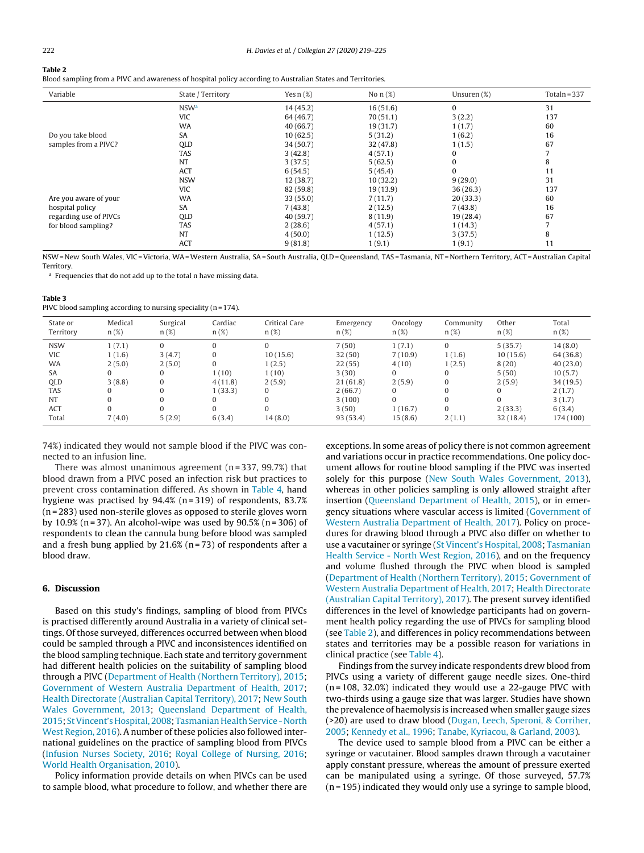<span id="page-4-0"></span>**Table 2**

Blood sampling from a PIVC and awareness of hospital policy according to Australian States and Territories.

| Variable               | State / Territory      | Yes $n(\%)$ | No $n$ (%) | Unsuren $(\%)$ | Totaln = $337$ |
|------------------------|------------------------|-------------|------------|----------------|----------------|
|                        | <b>NSW<sup>a</sup></b> | 14(45.2)    | 16(51.6)   | $\mathbf{0}$   | 31             |
|                        | <b>VIC</b>             | 64 (46.7)   | 70(51.1)   | 3(2.2)         | 137            |
|                        | <b>WA</b>              | 40(66.7)    | 19(31.7)   | 1(1.7)         | 60             |
| Do you take blood      | SA                     | 10(62.5)    | 5(31.2)    | 1(6.2)         | 16             |
| samples from a PIVC?   | QLD                    | 34 (50.7)   | 32(47.8)   | 1(1.5)         | 67             |
|                        | <b>TAS</b>             | 3(42.8)     | 4(57.1)    | 0              |                |
|                        | <b>NT</b>              | 3(37.5)     | 5(62.5)    | $\mathbf{0}$   | 8              |
|                        | ACT                    | 6(54.5)     | 5(45.4)    | $\bf{0}$       | 11             |
|                        | <b>NSW</b>             | 12(38.7)    | 10(32.2)   | 9(29.0)        | 31             |
|                        | <b>VIC</b>             | 82 (59.8)   | 19(13.9)   | 36(26.3)       | 137            |
| Are you aware of your  | <b>WA</b>              | 33(55.0)    | 7(11.7)    | 20(33.3)       | 60             |
| hospital policy        | <b>SA</b>              | 7(43.8)     | 2(12.5)    | 7(43.8)        | 16             |
| regarding use of PIVCs | QLD                    | 40 (59.7)   | 8(11.9)    | 19(28.4)       | 67             |
| for blood sampling?    | <b>TAS</b>             | 2(28.6)     | 4(57.1)    | 1(14.3)        | $\overline{ }$ |
|                        | <b>NT</b>              | 4(50.0)     | 1(12.5)    | 3(37.5)        | 8              |
|                        | ACT                    | 9(81.8)     | 1(9.1)     | 1(9.1)         | 11             |

NSW= New South Wales, VIC =Victoria, WA=Western Australia, SA= South Australia, QLD = Queensland, TAS = Tasmania, NT = Northern Territory, ACT =Australian Capital **Territory** 

<sup>a</sup> Frequencies that do not add up to the total n have missing data.

#### **Table 3**

PIVC blood sampling according to nursing speciality  $(n = 174)$ .

| State or<br>Territory | Medical<br>$n(\%)$ | Surgical<br>$n(\%)$ | Cardiac<br>$n(\%)$ | Critical Care<br>$n(\%)$ | Emergency<br>$n(\%)$ | Oncology<br>$n(\%)$ | Community<br>$n(\%)$ | Other<br>$n(\%)$ | Total<br>$n(\%)$ |
|-----------------------|--------------------|---------------------|--------------------|--------------------------|----------------------|---------------------|----------------------|------------------|------------------|
| <b>NSW</b>            | 1(7.1)             | $\Omega$            | 0                  |                          | 7(50)                | 1(7.1)              | $\Omega$             | 5(35.7)          | 14(8.0)          |
| <b>VIC</b>            | 1(1.6)             | 3(4.7)              | $\Omega$           | 10(15.6)                 | 32(50)               | 7(10.9)             | 1(1.6)               | 10(15.6)         | 64 (36.8)        |
| <b>WA</b>             | 2(5.0)             | 2(5.0)              | $\Omega$           | 1(2.5)                   | 22(55)               | 4(10)               | 1(2.5)               | 8(20)            | 40(23.0)         |
| <b>SA</b>             |                    | 0                   | 1(10)              | 1 (10)                   | 3(30)                | 0                   | 0                    | 5(50)            | 10(5.7)          |
| <b>OLD</b>            | 3(8.8)             | 0                   | 4(11.8)            | 2(5.9)                   | 21(61.8)             | 2(5.9)              | 0                    | 2(5.9)           | 34(19.5)         |
| <b>TAS</b>            |                    | $\Omega$            | 1(33.3)            | $\Omega$                 | 2(66.7)              | 0                   | 0                    | $\Omega$         | 2(1.7)           |
| <b>NT</b>             |                    | 0                   |                    |                          | 3(100)               | 0                   | 0                    |                  | 3(1.7)           |
| ACT                   |                    | $\Omega$            | 0                  |                          | 3(50)                | 1(16.7)             | $\Omega$             | 2(33.3)          | 6(3.4)           |
| Total                 | 7(4.0)             | 5(2.9)              | 6(3.4)             | 14(8.0)                  | 93(53.4)             | 15(8.6)             | 2(1.1)               | 32(18.4)         | 174 (100)        |

74%) indicated they would not sample blood if the PIVC was connected to an infusion line.

There was almost unanimous agreement  $(n=337, 99.7%)$  that blood drawn from a PIVC posed an infection risk but practices to prevent cross contamination differed. As shown in [Table](#page-5-0) 4, hand hygiene was practised by 94.4% (n=319) of respondents, 83.7% (n = 283) used non-sterile gloves as opposed to sterile gloves worn by 10.9% (n = 37). An alcohol-wipe was used by  $90.5%$  (n = 306) of respondents to clean the cannula bung before blood was sampled and a fresh bung applied by  $21.6%$  (n = 73) of respondents after a blood draw.

#### **6. Discussion**

Based on this study's findings, sampling of blood from PIVCs is practised differently around Australia in a variety of clinical settings. Of those surveyed, differences occurred between when blood could be sampled through a PIVC and inconsistences identified on the blood sampling technique. Each state and territory government had different health policies on the suitability of sampling blood through a PIVC [\(Department](#page-6-0) [of](#page-6-0) [Health](#page-6-0) [\(Northern](#page-6-0) [Territory\),](#page-6-0) [2015;](#page-6-0) [Government](#page-6-0) [of](#page-6-0) [Western](#page-6-0) [Australia](#page-6-0) [Department](#page-6-0) [of](#page-6-0) [Health,](#page-6-0) [2017;](#page-6-0) [Health](#page-6-0) [Directorate](#page-6-0) [\(Australian](#page-6-0) [Capital](#page-6-0) [Territory\),](#page-6-0) [2017;](#page-6-0) [New](#page-7-0) [South](#page-7-0) [Wales](#page-7-0) [Government,](#page-7-0) [2013;](#page-7-0) [Queensland](#page-7-0) [Department](#page-7-0) [of](#page-7-0) [Health,](#page-7-0) [2015;](#page-7-0) St Vincent's Hospital, [2008;](#page-7-0) Tasmanian Health Service - [North](#page-7-0) [West](#page-7-0) [Region,](#page-7-0) [2016\).](#page-7-0) A number of these policies also followed international guidelines on the practice of sampling blood from PIVCs ([Infusion](#page-6-0) [Nurses](#page-6-0) [Society,](#page-6-0) [2016;](#page-6-0) [Royal](#page-7-0) [College](#page-7-0) [of](#page-7-0) [Nursing,](#page-7-0) [2016;](#page-7-0) [World](#page-7-0) [Health](#page-7-0) [Organisation,](#page-7-0) [2010\).](#page-7-0)

Policy information provide details on when PIVCs can be used to sample blood, what procedure to follow, and whether there are exceptions. In some areas of policy there is not common agreement and variations occur in practice recommendations. One policy document allows for routine blood sampling if the PIVC was inserted solely for this purpose [\(New](#page-7-0) [South](#page-7-0) [Wales](#page-7-0) [Government,](#page-7-0) [2013\),](#page-7-0) whereas in other policies sampling is only allowed straight after insertion ([Queensland](#page-7-0) [Department](#page-7-0) [of](#page-7-0) [Health,](#page-7-0) [2015\),](#page-7-0) or in emergency situations where vascular access is limited [\(Government](#page-6-0) [of](#page-6-0) [Western](#page-6-0) [Australia](#page-6-0) [Department](#page-6-0) [of](#page-6-0) [Health,](#page-6-0) [2017\).](#page-6-0) Policy on procedures for drawing blood through a PIVC also differ on whether to use a vacutainer or syringe ([St](#page-7-0) [Vincent's](#page-7-0) [Hospital,](#page-7-0) [2008;](#page-7-0) [Tasmanian](#page-7-0) [Health](#page-7-0) [Service](#page-7-0) [-](#page-7-0) [North](#page-7-0) [West](#page-7-0) [Region,](#page-7-0) [2016\),](#page-7-0) and on the frequency and volume flushed through the PIVC when blood is sampled [\(Department](#page-6-0) [of](#page-6-0) [Health](#page-6-0) [\(Northern](#page-6-0) [Territory\),](#page-6-0) [2015;](#page-6-0) [Government](#page-6-0) [of](#page-6-0) [Western](#page-6-0) [Australia](#page-6-0) [Department](#page-6-0) [of](#page-6-0) [Health,](#page-6-0) [2017;](#page-6-0) [Health](#page-6-0) [Directorate](#page-6-0) [\(Australian](#page-6-0) [Capital](#page-6-0) [Territory\),](#page-6-0) [2017\).](#page-6-0) The present survey identified differences in the level of knowledge participants had on government health policy regarding the use of PIVCs for sampling blood (see Table 2), and differences in policy recommendations between states and territories may be a possible reason for variations in clinical practice (see [Table](#page-5-0) 4).

Findings from the survey indicate respondents drew blood from PIVCs using a variety of different gauge needle sizes. One-third  $(n = 108, 32.0%)$  indicated they would use a 22-gauge PIVC with two-thirds using a gauge size that was larger. Studies have shown the prevalence of haemolysis is increased when smaller gauge sizes (>20) are used to draw blood ([Dugan,](#page-6-0) [Leech,](#page-6-0) [Speroni,](#page-6-0) [&](#page-6-0) [Corriher,](#page-6-0) [2005;](#page-6-0) [Kennedy](#page-6-0) et [al.,](#page-6-0) [1996;](#page-6-0) [Tanabe,](#page-7-0) [Kyriacou,](#page-7-0) [&](#page-7-0) [Garland,](#page-7-0) [2003\).](#page-7-0)

The device used to sample blood from a PIVC can be either a syringe or vacutainer. Blood samples drawn through a vacutainer apply constant pressure, whereas the amount of pressure exerted can be manipulated using a syringe. Of those surveyed, 57.7% (n = 195) indicated they would only use a syringe to sample blood,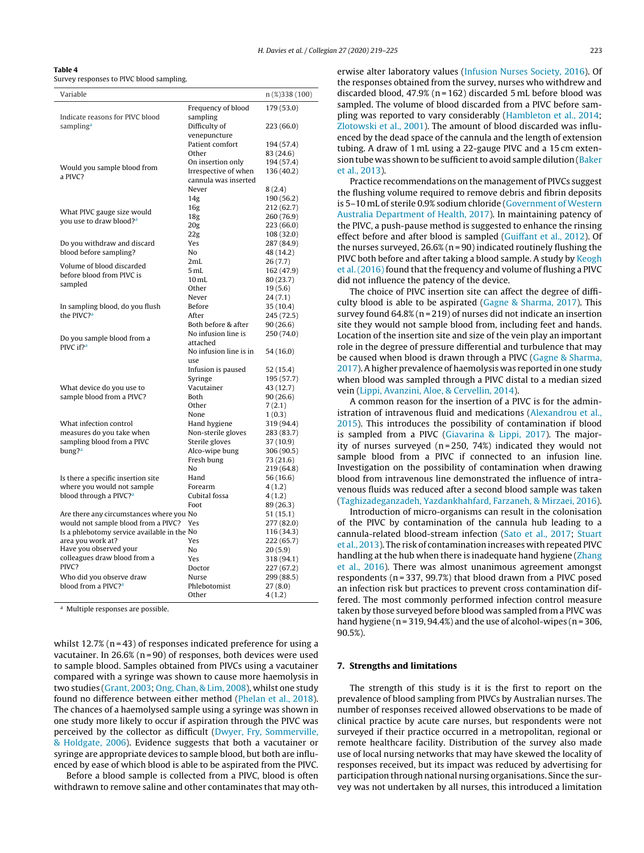<span id="page-5-0"></span>

|--|--|--|

Survey responses to PIVC blood sampling.

| Variable                                                                        |                          | n (%)338 (100)          |
|---------------------------------------------------------------------------------|--------------------------|-------------------------|
|                                                                                 | Frequency of blood       | 179 (53.0)              |
| Indicate reasons for PIVC blood                                                 | sampling                 |                         |
| sampling <sup>a</sup>                                                           | Difficulty of            | 223 (66.0)              |
|                                                                                 | venepuncture             |                         |
|                                                                                 | Patient comfort<br>Other | 194 (57.4)<br>83 (24.6) |
|                                                                                 | On insertion only        | 194 (57.4)              |
| Would you sample blood from                                                     | Irrespective of when     | 136 (40.2)              |
| a PIVC?                                                                         | cannula was inserted     |                         |
|                                                                                 | Never                    | 8(2.4)                  |
|                                                                                 | 14 <sub>g</sub>          | 190 (56.2)              |
| What PIVC gauge size would                                                      | 16 <sub>g</sub>          | 212 (62.7)              |
| you use to draw blood? <sup>a</sup>                                             | 18 <sub>g</sub>          | 260 (76.9)              |
|                                                                                 | 20g                      | 223 (66.0)              |
|                                                                                 | 22g                      | 108 (32.0)              |
| Do you withdraw and discard                                                     | Yes                      | 287 (84.9)              |
| blood before sampling?                                                          | No                       | 48 (14.2)               |
| Volume of blood discarded                                                       | 2mL                      | 26(7.7)                 |
| before blood from PIVC is                                                       | 5mL<br>$10 \text{ mL}$   | 162 (47.9)<br>80 (23.7) |
| sampled                                                                         | Other                    | 19(5.6)                 |
|                                                                                 | Never                    | 24(7.1)                 |
| In sampling blood, do you flush                                                 | Before                   | 35 (10.4)               |
| the PIVC? <sup>a</sup>                                                          | After                    | 245 (72.5)              |
|                                                                                 | Both before & after      | 90(26.6)                |
|                                                                                 | No infusion line is      | 250 (74.0)              |
| Do you sample blood from a<br>PIVC if? <sup>a</sup>                             | attached                 |                         |
|                                                                                 | No infusion line is in   | 54 (16.0)               |
|                                                                                 | use                      |                         |
|                                                                                 | Infusion is paused       | 52 (15.4)               |
|                                                                                 | Syringe                  | 195 (57.7)              |
| What device do you use to                                                       | Vacutainer<br>Both       | 43 (12.7)<br>90(26.6)   |
| sample blood from a PIVC?                                                       | Other                    | 7(2.1)                  |
|                                                                                 | None                     | 1(0.3)                  |
| What infection control                                                          | Hand hygiene             | 319 (94.4)              |
| measures do you take when                                                       | Non-sterile gloves       | 283 (83.7)              |
| sampling blood from a PIVC                                                      | Sterile gloves           | 37 (10.9)               |
| bung? <sup>a</sup>                                                              | Alco-wipe bung           | 306 (90.5)              |
|                                                                                 | Fresh bung               | 73 (21.6)               |
|                                                                                 | No                       | 219 (64.8)              |
| Is there a specific insertion site                                              | Hand                     | 56 (16.6)               |
| where you would not sample                                                      | Forearm                  | 4(1.2)                  |
| blood through a PIVC? <sup>a</sup>                                              | Cubital fossa            | 4(1.2)                  |
|                                                                                 | Foot                     | 89 (26.3)               |
| Are there any circumstances where you No<br>would not sample blood from a PIVC? | Yes                      | 51 (15.1)<br>277 (82.0) |
| Is a phlebotomy service available in the No                                     |                          | 116 (34.3)              |
| area you work at?                                                               | Yes                      | 222 (65.7)              |
| Have you observed your                                                          | No                       | 20(5.9)                 |
| colleagues draw blood from a                                                    | Yes                      | 318 (94.1)              |
| PIVC?                                                                           | Doctor                   | 227 (67.2)              |
| Who did you observe draw                                                        | Nurse                    | 299 (88.5)              |
| blood from a PIVC? <sup>a</sup>                                                 | Phlebotomist             | 27 (8.0)                |
|                                                                                 | Other                    | 4(1.2)                  |

<sup>a</sup> Multiple responses are possible.

whilst  $12.7\%$  (n = 43) of responses indicated preference for using a vacutainer. In  $26.6\%$  (n = 90) of responses, both devices were used to sample blood. Samples obtained from PIVCs using a vacutainer compared with a syringe was shown to cause more haemolysis in two studies ([Grant,](#page-6-0) [2003;](#page-6-0) [Ong,](#page-7-0) [Chan,](#page-7-0) [&](#page-7-0) [Lim,](#page-7-0) [2008\),](#page-7-0) whilst one study found no difference between either method [\(Phelan](#page-7-0) et [al.,](#page-7-0) [2018\).](#page-7-0) The chances of a haemolysed sample using a syringe was shown in one study more likely to occur if aspiration through the PIVC was perceived by the collector as difficult ([Dwyer,](#page-6-0) [Fry,](#page-6-0) [Sommerville,](#page-6-0) [&](#page-6-0) [Holdgate,](#page-6-0) [2006\).](#page-6-0) Evidence suggests that both a vacutainer or syringe are appropriate devices to sample blood, but both are influenced by ease of which blood is able to be aspirated from the PIVC.

Before a blood sample is collected from a PIVC, blood is often withdrawn to remove saline and other contaminates that may otherwise alter laboratory values [\(Infusion](#page-6-0) [Nurses](#page-6-0) [Society,](#page-6-0) [2016\).](#page-6-0) Of the responses obtained from the survey, nurses who withdrew and discarded blood, 47.9% (n = 162) discarded 5 mL before blood was sampled. The volume of blood discarded from a PIVC before sampling was reported to vary considerably ([Hambleton](#page-6-0) et [al.,](#page-6-0) [2014;](#page-6-0) [Zlotowski](#page-7-0) et [al.,](#page-7-0) [2001\).](#page-7-0) The amount of blood discarded was influenced by the dead space of the cannula and the length of extension tubing. A draw of 1 mL using a 22-gauge PIVC and a 15 cm exten-sion tube was shown to be sufficient to avoid sample dilution [\(Baker](#page-6-0) et [al.,](#page-6-0) [2013\).](#page-6-0)

Practice recommendations on the management of PIVCs suggest the flushing volume required to remove debris and fibrin deposits is 5–10 mL of sterile 0.9% sodium chloride ([Government](#page-6-0) [of](#page-6-0) [Western](#page-6-0) [Australia](#page-6-0) [Department](#page-6-0) [of](#page-6-0) [Health,](#page-6-0) [2017\).](#page-6-0) In maintaining patency of the PIVC, a push-pause method is suggested to enhance the rinsing effect before and after blood is sampled [\(Guiffant](#page-6-0) et [al.,](#page-6-0) [2012\).](#page-6-0) Of the nurses surveyed,  $26.6\%$  (n = 90) indicated routinely flushing the PIVC both before and after taking a blood sample. A study by [Keogh](#page-6-0) et al. (2016) found that the frequency and volume of flushing a PIVC did not influence the patency of the device.

The choice of PIVC insertion site can affect the degree of difficulty blood is able to be aspirated [\(Gagne](#page-6-0) [&](#page-6-0) [Sharma,](#page-6-0) [2017\).](#page-6-0) This survey found 64.8% (n = 219) of nurses did not indicate an insertion site they would not sample blood from, including feet and hands. Location of the insertion site and size of the vein play an important role in the degree of pressure differential and turbulence that may be caused when blood is drawn through a PIVC [\(Gagne](#page-6-0) [&](#page-6-0) [Sharma,](#page-6-0) [2017\).](#page-6-0) A higher prevalence of haemolysis was reported in one study when blood was sampled through a PIVC distal to a median sized vein ([Lippi,](#page-6-0) [Avanzini,](#page-6-0) [Aloe,](#page-6-0) [&](#page-6-0) [Cervellin,](#page-6-0) [2014\).](#page-6-0)

A common reason for the insertion of a PIVC is for the administration of intravenous fluid and medications ([Alexandrou](#page-6-0) et [al.,](#page-6-0) [2015\).](#page-6-0) This introduces the possibility of contamination if blood is sampled from a PIVC [\(Giavarina](#page-6-0) [&](#page-6-0) [Lippi,](#page-6-0) [2017\).](#page-6-0) The majority of nurses surveyed ( $n = 250$ , 74%) indicated they would not sample blood from a PIVC if connected to an infusion line. Investigation on the possibility of contamination when drawing blood from intravenous line demonstrated the influence of intravenous fluids was reduced after a second blood sample was taken [\(Taghizadeganzadeh,](#page-7-0) [Yazdankhahfard,](#page-7-0) [Farzaneh,](#page-7-0) [&](#page-7-0) [Mirzaei,](#page-7-0) [2016\).](#page-7-0)

Introduction of micro-organisms can result in the colonisation of the PIVC by contamination of the cannula hub leading to a cannula-related blood-stream infection ([Sato](#page-7-0) et [al.,](#page-7-0) [2017;](#page-7-0) [Stuart](#page-7-0) et [al.,](#page-7-0) [2013\).](#page-7-0) The risk of contamination increases with repeated PIVC handling at the hub when there is inadequate hand hygiene [\(Zhang](#page-7-0) et [al.,](#page-7-0) [2016\).](#page-7-0) There was almost unanimous agreement amongst respondents (n = 337, 99.7%) that blood drawn from a PIVC posed an infection risk but practices to prevent cross contamination differed. The most commonly performed infection control measure taken by those surveyed before blood was sampled from a PIVC was hand hygiene ( $n = 319, 94.4\%$ ) and the use of alcohol-wipes ( $n = 306$ , 90.5%).

#### **7. Strengths and limitations**

The strength of this study is it is the first to report on the prevalence of blood sampling from PIVCs by Australian nurses. The number of responses received allowed observations to be made of clinical practice by acute care nurses, but respondents were not surveyed if their practice occurred in a metropolitan, regional or remote healthcare facility. Distribution of the survey also made use of local nursing networks that may have skewed the locality of responses received, but its impact was reduced by advertising for participation through national nursing organisations. Since the survey was not undertaken by all nurses, this introduced a limitation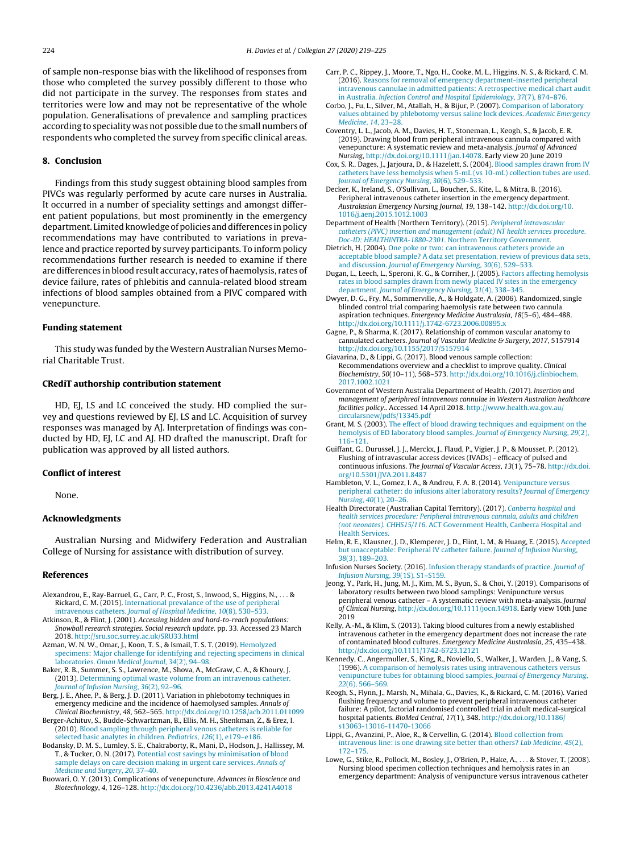<span id="page-6-0"></span>of sample non-response bias with the likelihood of responses from those who completed the survey possibly different to those who did not participate in the survey. The responses from states and territories were low and may not be representative of the whole population. Generalisations of prevalence and sampling practices according to speciality was not possible due to the small numbers of respondents who completed the survey from specific clinical areas.

#### **8. Conclusion**

Findings from this study suggest obtaining blood samples from PIVCs was regularly performed by acute care nurses in Australia. It occurred in a number of speciality settings and amongst different patient populations, but most prominently in the emergency department. Limited knowledge of policies and differences in policy recommendations may have contributed to variations in prevalence and practice reported by survey participants. To inform policy recommendations further research is needed to examine if there are differences in blood result accuracy, rates of haemolysis, rates of device failure, rates of phlebitis and cannula-related blood stream infections of blood samples obtained from a PIVC compared with venepuncture.

#### **Funding statement**

This study was funded by the Western Australian Nurses Memorial Charitable Trust.

#### **CRediT authorship contribution statement**

HD, EJ, LS and LC conceived the study. HD complied the survey and questions reviewed by EJ, LS and LC. Acquisition of survey responses was managed by AJ. Interpretation of findings was conducted by HD, EJ, LC and AJ. HD drafted the manuscript. Draft for publication was approved by all listed authors.

#### **Conflict of interest**

None.

#### **Acknowledgments**

Australian Nursing and Midwifery Federation and Australian College of Nursing for assistance with distribution of survey.

#### **References**

- Alexandrou, E., Ray-Barruel, G., Carr, P. C., Frost, S., Inwood, S., Higgins, N., . . . & Rickard, C. M. (2015). [International](http://refhub.elsevier.com/S1322-7696(19)30080-0/sbref0005) [prevalance](http://refhub.elsevier.com/S1322-7696(19)30080-0/sbref0005) [of](http://refhub.elsevier.com/S1322-7696(19)30080-0/sbref0005) [the](http://refhub.elsevier.com/S1322-7696(19)30080-0/sbref0005) [use](http://refhub.elsevier.com/S1322-7696(19)30080-0/sbref0005) [of](http://refhub.elsevier.com/S1322-7696(19)30080-0/sbref0005) [peripheral](http://refhub.elsevier.com/S1322-7696(19)30080-0/sbref0005) [intravenous](http://refhub.elsevier.com/S1322-7696(19)30080-0/sbref0005) [catheters.](http://refhub.elsevier.com/S1322-7696(19)30080-0/sbref0005) [Journal](http://refhub.elsevier.com/S1322-7696(19)30080-0/sbref0005) [of](http://refhub.elsevier.com/S1322-7696(19)30080-0/sbref0005) [Hospital](http://refhub.elsevier.com/S1322-7696(19)30080-0/sbref0005) [Medicine](http://refhub.elsevier.com/S1322-7696(19)30080-0/sbref0005)[,](http://refhub.elsevier.com/S1322-7696(19)30080-0/sbref0005) [10](http://refhub.elsevier.com/S1322-7696(19)30080-0/sbref0005)[\(8\),](http://refhub.elsevier.com/S1322-7696(19)30080-0/sbref0005) [530–533.](http://refhub.elsevier.com/S1322-7696(19)30080-0/sbref0005)
- Atkinson, R., & Flint, J. (2001). Accessing hidden and hard-to-reach populations: Snowball research strategies. Social research update. pp. 33. Accessed 23 March 2018. <http://sru.soc.surrey.ac.uk/SRU33.html>
- Azman, W. N. W., Omar, J., Koon, T. S., & Ismail, T. S. T. (2019). [Hemolyzed](http://refhub.elsevier.com/S1322-7696(19)30080-0/sbref0015) [specimens:](http://refhub.elsevier.com/S1322-7696(19)30080-0/sbref0015) [Major](http://refhub.elsevier.com/S1322-7696(19)30080-0/sbref0015) [challenge](http://refhub.elsevier.com/S1322-7696(19)30080-0/sbref0015) [for](http://refhub.elsevier.com/S1322-7696(19)30080-0/sbref0015) [identifying](http://refhub.elsevier.com/S1322-7696(19)30080-0/sbref0015) [and](http://refhub.elsevier.com/S1322-7696(19)30080-0/sbref0015) [rejecting](http://refhub.elsevier.com/S1322-7696(19)30080-0/sbref0015) [specimens](http://refhub.elsevier.com/S1322-7696(19)30080-0/sbref0015) [in](http://refhub.elsevier.com/S1322-7696(19)30080-0/sbref0015) [clinical](http://refhub.elsevier.com/S1322-7696(19)30080-0/sbref0015) [laboratories.](http://refhub.elsevier.com/S1322-7696(19)30080-0/sbref0015) [Oman](http://refhub.elsevier.com/S1322-7696(19)30080-0/sbref0015) [Medical](http://refhub.elsevier.com/S1322-7696(19)30080-0/sbref0015) [Journal](http://refhub.elsevier.com/S1322-7696(19)30080-0/sbref0015)[,](http://refhub.elsevier.com/S1322-7696(19)30080-0/sbref0015) [34](http://refhub.elsevier.com/S1322-7696(19)30080-0/sbref0015)[\(2\),](http://refhub.elsevier.com/S1322-7696(19)30080-0/sbref0015) [94–98.](http://refhub.elsevier.com/S1322-7696(19)30080-0/sbref0015)
- Baker, R. B., Summer, S. S., Lawrence, M., Shova, A., McGraw, C. A., & Khoury, J. (2013). [Determining](http://refhub.elsevier.com/S1322-7696(19)30080-0/sbref0020) [optimal](http://refhub.elsevier.com/S1322-7696(19)30080-0/sbref0020) [waste](http://refhub.elsevier.com/S1322-7696(19)30080-0/sbref0020) [volume](http://refhub.elsevier.com/S1322-7696(19)30080-0/sbref0020) [from](http://refhub.elsevier.com/S1322-7696(19)30080-0/sbref0020) [an](http://refhub.elsevier.com/S1322-7696(19)30080-0/sbref0020) [intravenous](http://refhub.elsevier.com/S1322-7696(19)30080-0/sbref0020) [catheter.](http://refhub.elsevier.com/S1322-7696(19)30080-0/sbref0020) [Journal](http://refhub.elsevier.com/S1322-7696(19)30080-0/sbref0020) [of](http://refhub.elsevier.com/S1322-7696(19)30080-0/sbref0020) [Infusion](http://refhub.elsevier.com/S1322-7696(19)30080-0/sbref0020) [Nursing](http://refhub.elsevier.com/S1322-7696(19)30080-0/sbref0020)[,](http://refhub.elsevier.com/S1322-7696(19)30080-0/sbref0020) [36](http://refhub.elsevier.com/S1322-7696(19)30080-0/sbref0020)[\(2\),](http://refhub.elsevier.com/S1322-7696(19)30080-0/sbref0020) [92–96.](http://refhub.elsevier.com/S1322-7696(19)30080-0/sbref0020)
- Berg, J. E., Ahee, P., & Berg, J. D. (2011). Variation in phlebotomy techniques in emergency medicine and the incidence of haemolysed samples. Annals of Clinical Biochemistry, 48, 562–565. [http://dx.doi.org/10.1258/acb.2011.011099](dx.doi.org/10.1258/acb.2011.011099)
- Berger-Achituv, S., Budde-Schwartzman, B., Ellis, M. H., Shenkman, Z., & Erez, I. (2010). [Blood](http://refhub.elsevier.com/S1322-7696(19)30080-0/sbref0030) [sampling](http://refhub.elsevier.com/S1322-7696(19)30080-0/sbref0030) [through](http://refhub.elsevier.com/S1322-7696(19)30080-0/sbref0030) [peripheral](http://refhub.elsevier.com/S1322-7696(19)30080-0/sbref0030) [venous](http://refhub.elsevier.com/S1322-7696(19)30080-0/sbref0030) [catheters](http://refhub.elsevier.com/S1322-7696(19)30080-0/sbref0030) [is](http://refhub.elsevier.com/S1322-7696(19)30080-0/sbref0030) [reliable](http://refhub.elsevier.com/S1322-7696(19)30080-0/sbref0030) [for](http://refhub.elsevier.com/S1322-7696(19)30080-0/sbref0030) [selected](http://refhub.elsevier.com/S1322-7696(19)30080-0/sbref0030) [basic](http://refhub.elsevier.com/S1322-7696(19)30080-0/sbref0030) [analytes](http://refhub.elsevier.com/S1322-7696(19)30080-0/sbref0030) [in](http://refhub.elsevier.com/S1322-7696(19)30080-0/sbref0030) [children.](http://refhub.elsevier.com/S1322-7696(19)30080-0/sbref0030) [Pediatrics](http://refhub.elsevier.com/S1322-7696(19)30080-0/sbref0030)[,](http://refhub.elsevier.com/S1322-7696(19)30080-0/sbref0030) [126](http://refhub.elsevier.com/S1322-7696(19)30080-0/sbref0030)[\(1\),](http://refhub.elsevier.com/S1322-7696(19)30080-0/sbref0030) [e179](http://refhub.elsevier.com/S1322-7696(19)30080-0/sbref0030)-[e186.](http://refhub.elsevier.com/S1322-7696(19)30080-0/sbref0030)
- Bodansky, D. M. S., Lumley, S. E., Chakraborty, R., Mani, D., Hodson, J., Hallissey, M. T., & Tucker, O. N. (2017). [Potential](http://refhub.elsevier.com/S1322-7696(19)30080-0/sbref0035) [cost](http://refhub.elsevier.com/S1322-7696(19)30080-0/sbref0035) [savings](http://refhub.elsevier.com/S1322-7696(19)30080-0/sbref0035) [by](http://refhub.elsevier.com/S1322-7696(19)30080-0/sbref0035) [minimisation](http://refhub.elsevier.com/S1322-7696(19)30080-0/sbref0035) [of](http://refhub.elsevier.com/S1322-7696(19)30080-0/sbref0035) [blood](http://refhub.elsevier.com/S1322-7696(19)30080-0/sbref0035) [sample](http://refhub.elsevier.com/S1322-7696(19)30080-0/sbref0035) [delays](http://refhub.elsevier.com/S1322-7696(19)30080-0/sbref0035) [on](http://refhub.elsevier.com/S1322-7696(19)30080-0/sbref0035) [care](http://refhub.elsevier.com/S1322-7696(19)30080-0/sbref0035) [decision](http://refhub.elsevier.com/S1322-7696(19)30080-0/sbref0035) [making](http://refhub.elsevier.com/S1322-7696(19)30080-0/sbref0035) [in](http://refhub.elsevier.com/S1322-7696(19)30080-0/sbref0035) [urgent](http://refhub.elsevier.com/S1322-7696(19)30080-0/sbref0035) [care](http://refhub.elsevier.com/S1322-7696(19)30080-0/sbref0035) [services.](http://refhub.elsevier.com/S1322-7696(19)30080-0/sbref0035) [Annals](http://refhub.elsevier.com/S1322-7696(19)30080-0/sbref0035) [of](http://refhub.elsevier.com/S1322-7696(19)30080-0/sbref0035) [Medicine](http://refhub.elsevier.com/S1322-7696(19)30080-0/sbref0035) [and](http://refhub.elsevier.com/S1322-7696(19)30080-0/sbref0035) [Surgery](http://refhub.elsevier.com/S1322-7696(19)30080-0/sbref0035), [20](http://refhub.elsevier.com/S1322-7696(19)30080-0/sbref0035)[,](http://refhub.elsevier.com/S1322-7696(19)30080-0/sbref0035) [37](http://refhub.elsevier.com/S1322-7696(19)30080-0/sbref0035)–[40.](http://refhub.elsevier.com/S1322-7696(19)30080-0/sbref0035)
- Buowari, O. Y. (2013). Complications of venepuncture. Advances in Bioscience and Biotechnology, 4, 126–128. [http://dx.doi.org/10.4236/abb.2013.4241A4018](dx.doi.org/10.4236/abb.2013.4241A4018)
- Carr, P. C., Rippey, J., Moore, T., Ngo, H., Cooke, M. L., Higgins, N. S., & Rickard, C. M. (2016). [Reasons](http://refhub.elsevier.com/S1322-7696(19)30080-0/sbref0045) [for](http://refhub.elsevier.com/S1322-7696(19)30080-0/sbref0045) [removal](http://refhub.elsevier.com/S1322-7696(19)30080-0/sbref0045) [of](http://refhub.elsevier.com/S1322-7696(19)30080-0/sbref0045) [emergency](http://refhub.elsevier.com/S1322-7696(19)30080-0/sbref0045) [department-inserted](http://refhub.elsevier.com/S1322-7696(19)30080-0/sbref0045) [peripheral](http://refhub.elsevier.com/S1322-7696(19)30080-0/sbref0045) [intravenous](http://refhub.elsevier.com/S1322-7696(19)30080-0/sbref0045) [cannulae](http://refhub.elsevier.com/S1322-7696(19)30080-0/sbref0045) [in](http://refhub.elsevier.com/S1322-7696(19)30080-0/sbref0045) [admitted](http://refhub.elsevier.com/S1322-7696(19)30080-0/sbref0045) [patients:](http://refhub.elsevier.com/S1322-7696(19)30080-0/sbref0045) [A](http://refhub.elsevier.com/S1322-7696(19)30080-0/sbref0045) [retrospective](http://refhub.elsevier.com/S1322-7696(19)30080-0/sbref0045) [medical](http://refhub.elsevier.com/S1322-7696(19)30080-0/sbref0045) [chart](http://refhub.elsevier.com/S1322-7696(19)30080-0/sbref0045) [audit](http://refhub.elsevier.com/S1322-7696(19)30080-0/sbref0045) [in](http://refhub.elsevier.com/S1322-7696(19)30080-0/sbref0045) [Australia.](http://refhub.elsevier.com/S1322-7696(19)30080-0/sbref0045) [Infection](http://refhub.elsevier.com/S1322-7696(19)30080-0/sbref0045) [Control](http://refhub.elsevier.com/S1322-7696(19)30080-0/sbref0045) [and](http://refhub.elsevier.com/S1322-7696(19)30080-0/sbref0045) [Hospital](http://refhub.elsevier.com/S1322-7696(19)30080-0/sbref0045) [Epidemiology](http://refhub.elsevier.com/S1322-7696(19)30080-0/sbref0045)[,](http://refhub.elsevier.com/S1322-7696(19)30080-0/sbref0045) [37](http://refhub.elsevier.com/S1322-7696(19)30080-0/sbref0045)[\(7\),](http://refhub.elsevier.com/S1322-7696(19)30080-0/sbref0045) [874](http://refhub.elsevier.com/S1322-7696(19)30080-0/sbref0045)-[876.](http://refhub.elsevier.com/S1322-7696(19)30080-0/sbref0045)
- Corbo, J., Fu, L., Silver, M., Atallah, H., & Bijur, P. (2007). [Comparison](http://refhub.elsevier.com/S1322-7696(19)30080-0/sbref0050) [of](http://refhub.elsevier.com/S1322-7696(19)30080-0/sbref0050) [laboratory](http://refhub.elsevier.com/S1322-7696(19)30080-0/sbref0050) [values](http://refhub.elsevier.com/S1322-7696(19)30080-0/sbref0050) [obtained](http://refhub.elsevier.com/S1322-7696(19)30080-0/sbref0050) [by](http://refhub.elsevier.com/S1322-7696(19)30080-0/sbref0050) [phlebotomy](http://refhub.elsevier.com/S1322-7696(19)30080-0/sbref0050) [versus](http://refhub.elsevier.com/S1322-7696(19)30080-0/sbref0050) [saline](http://refhub.elsevier.com/S1322-7696(19)30080-0/sbref0050) [lock](http://refhub.elsevier.com/S1322-7696(19)30080-0/sbref0050) [devices.](http://refhub.elsevier.com/S1322-7696(19)30080-0/sbref0050) [Academic](http://refhub.elsevier.com/S1322-7696(19)30080-0/sbref0050) [Emergency](http://refhub.elsevier.com/S1322-7696(19)30080-0/sbref0050) [Medicine](http://refhub.elsevier.com/S1322-7696(19)30080-0/sbref0050)[,](http://refhub.elsevier.com/S1322-7696(19)30080-0/sbref0050) [14](http://refhub.elsevier.com/S1322-7696(19)30080-0/sbref0050)[,](http://refhub.elsevier.com/S1322-7696(19)30080-0/sbref0050) [23–28.](http://refhub.elsevier.com/S1322-7696(19)30080-0/sbref0050)
- Coventry, L. L., Jacob, A. M., Davies, H. T., Stoneman, L., Keogh, S., & Jacob, E. R. (2019). Drawing blood from peripheral intravenous cannula compared with venepuncture: A systematic review and meta-analysis. Journal of Advanced Nursing, [http://dx.doi.org/10.1111/jan.14078](dx.doi.org/10.1111/jan.14078). Early view 20 June 2019
- Cox, S. R., Dages, J., Jarjoura, D., & Hazelett, S. (2004). [Blood](http://refhub.elsevier.com/S1322-7696(19)30080-0/sbref0060) [samples](http://refhub.elsevier.com/S1322-7696(19)30080-0/sbref0060) [drawn](http://refhub.elsevier.com/S1322-7696(19)30080-0/sbref0060) [from](http://refhub.elsevier.com/S1322-7696(19)30080-0/sbref0060) [IV](http://refhub.elsevier.com/S1322-7696(19)30080-0/sbref0060) [catheters](http://refhub.elsevier.com/S1322-7696(19)30080-0/sbref0060) [have](http://refhub.elsevier.com/S1322-7696(19)30080-0/sbref0060) [less](http://refhub.elsevier.com/S1322-7696(19)30080-0/sbref0060) [hemolysis](http://refhub.elsevier.com/S1322-7696(19)30080-0/sbref0060) [when](http://refhub.elsevier.com/S1322-7696(19)30080-0/sbref0060) [5-mL](http://refhub.elsevier.com/S1322-7696(19)30080-0/sbref0060) [\(vs](http://refhub.elsevier.com/S1322-7696(19)30080-0/sbref0060) [10-mL\)](http://refhub.elsevier.com/S1322-7696(19)30080-0/sbref0060) [collection](http://refhub.elsevier.com/S1322-7696(19)30080-0/sbref0060) [tubes](http://refhub.elsevier.com/S1322-7696(19)30080-0/sbref0060) [are](http://refhub.elsevier.com/S1322-7696(19)30080-0/sbref0060) [used.](http://refhub.elsevier.com/S1322-7696(19)30080-0/sbref0060) [Journal](http://refhub.elsevier.com/S1322-7696(19)30080-0/sbref0060) [of](http://refhub.elsevier.com/S1322-7696(19)30080-0/sbref0060) [Emergency](http://refhub.elsevier.com/S1322-7696(19)30080-0/sbref0060) [Nursing](http://refhub.elsevier.com/S1322-7696(19)30080-0/sbref0060)[,](http://refhub.elsevier.com/S1322-7696(19)30080-0/sbref0060) [30](http://refhub.elsevier.com/S1322-7696(19)30080-0/sbref0060)[\(6\),](http://refhub.elsevier.com/S1322-7696(19)30080-0/sbref0060) [529–533.](http://refhub.elsevier.com/S1322-7696(19)30080-0/sbref0060)
- Decker, K., Ireland, S., O'Sullivan, L., Boucher, S., Kite, L., & Mitra, B. (2016). Peripheral intravenous catheter insertion in the emergency department. Australasian Emergency Nursing Journal, 19, 138–142. [http://dx.doi.org/10.](dx.doi.org/10.1016/j.aenj.2015.1012.1003) [1016/j.aenj.2015.1012.1003](dx.doi.org/10.1016/j.aenj.2015.1012.1003)
- Department of Health (Northern Territory). (2015). [Peripheral](http://refhub.elsevier.com/S1322-7696(19)30080-0/sbref0070) [intravascular](http://refhub.elsevier.com/S1322-7696(19)30080-0/sbref0070) [catheters](http://refhub.elsevier.com/S1322-7696(19)30080-0/sbref0070) [\(PIVC\)](http://refhub.elsevier.com/S1322-7696(19)30080-0/sbref0070) [insertion](http://refhub.elsevier.com/S1322-7696(19)30080-0/sbref0070) [and](http://refhub.elsevier.com/S1322-7696(19)30080-0/sbref0070) [management](http://refhub.elsevier.com/S1322-7696(19)30080-0/sbref0070) [\(adult\)](http://refhub.elsevier.com/S1322-7696(19)30080-0/sbref0070) [NT](http://refhub.elsevier.com/S1322-7696(19)30080-0/sbref0070) [health](http://refhub.elsevier.com/S1322-7696(19)30080-0/sbref0070) [services](http://refhub.elsevier.com/S1322-7696(19)30080-0/sbref0070) [procedure.](http://refhub.elsevier.com/S1322-7696(19)30080-0/sbref0070) [Doc-ID:](http://refhub.elsevier.com/S1322-7696(19)30080-0/sbref0070) [HEALTHINTRA-1880-2301](http://refhub.elsevier.com/S1322-7696(19)30080-0/sbref0070)[.](http://refhub.elsevier.com/S1322-7696(19)30080-0/sbref0070) [Northern](http://refhub.elsevier.com/S1322-7696(19)30080-0/sbref0070) [Territory](http://refhub.elsevier.com/S1322-7696(19)30080-0/sbref0070) [Government.](http://refhub.elsevier.com/S1322-7696(19)30080-0/sbref0070)
- Dietrich, H. (2004). [One](http://refhub.elsevier.com/S1322-7696(19)30080-0/sbref0075) [poke](http://refhub.elsevier.com/S1322-7696(19)30080-0/sbref0075) [or](http://refhub.elsevier.com/S1322-7696(19)30080-0/sbref0075) [two:](http://refhub.elsevier.com/S1322-7696(19)30080-0/sbref0075) [can](http://refhub.elsevier.com/S1322-7696(19)30080-0/sbref0075) [intravenous](http://refhub.elsevier.com/S1322-7696(19)30080-0/sbref0075) [catheters](http://refhub.elsevier.com/S1322-7696(19)30080-0/sbref0075) [provide](http://refhub.elsevier.com/S1322-7696(19)30080-0/sbref0075) [an](http://refhub.elsevier.com/S1322-7696(19)30080-0/sbref0075) [acceptable](http://refhub.elsevier.com/S1322-7696(19)30080-0/sbref0075) [blood](http://refhub.elsevier.com/S1322-7696(19)30080-0/sbref0075) [sample?](http://refhub.elsevier.com/S1322-7696(19)30080-0/sbref0075) [A](http://refhub.elsevier.com/S1322-7696(19)30080-0/sbref0075) [data](http://refhub.elsevier.com/S1322-7696(19)30080-0/sbref0075) [set](http://refhub.elsevier.com/S1322-7696(19)30080-0/sbref0075) [presentation,](http://refhub.elsevier.com/S1322-7696(19)30080-0/sbref0075) [review](http://refhub.elsevier.com/S1322-7696(19)30080-0/sbref0075) [of](http://refhub.elsevier.com/S1322-7696(19)30080-0/sbref0075) [previous](http://refhub.elsevier.com/S1322-7696(19)30080-0/sbref0075) [data](http://refhub.elsevier.com/S1322-7696(19)30080-0/sbref0075) [sets,](http://refhub.elsevier.com/S1322-7696(19)30080-0/sbref0075) [and](http://refhub.elsevier.com/S1322-7696(19)30080-0/sbref0075) [discussion.](http://refhub.elsevier.com/S1322-7696(19)30080-0/sbref0075) [Journal](http://refhub.elsevier.com/S1322-7696(19)30080-0/sbref0075) [of](http://refhub.elsevier.com/S1322-7696(19)30080-0/sbref0075) [Emergency](http://refhub.elsevier.com/S1322-7696(19)30080-0/sbref0075) [Nursing](http://refhub.elsevier.com/S1322-7696(19)30080-0/sbref0075)[,](http://refhub.elsevier.com/S1322-7696(19)30080-0/sbref0075) [30](http://refhub.elsevier.com/S1322-7696(19)30080-0/sbref0075)[\(6\),](http://refhub.elsevier.com/S1322-7696(19)30080-0/sbref0075) [529–533.](http://refhub.elsevier.com/S1322-7696(19)30080-0/sbref0075)
- Dugan, L., Leech, L., Speroni, K. G., & Corriher, J. (2005). [Factors](http://refhub.elsevier.com/S1322-7696(19)30080-0/sbref0080) [affecting](http://refhub.elsevier.com/S1322-7696(19)30080-0/sbref0080) [hemolysis](http://refhub.elsevier.com/S1322-7696(19)30080-0/sbref0080) [rates](http://refhub.elsevier.com/S1322-7696(19)30080-0/sbref0080) [in](http://refhub.elsevier.com/S1322-7696(19)30080-0/sbref0080) [blood](http://refhub.elsevier.com/S1322-7696(19)30080-0/sbref0080) [samples](http://refhub.elsevier.com/S1322-7696(19)30080-0/sbref0080) [drawn](http://refhub.elsevier.com/S1322-7696(19)30080-0/sbref0080) [from](http://refhub.elsevier.com/S1322-7696(19)30080-0/sbref0080) [newly](http://refhub.elsevier.com/S1322-7696(19)30080-0/sbref0080) [placed](http://refhub.elsevier.com/S1322-7696(19)30080-0/sbref0080) [IV](http://refhub.elsevier.com/S1322-7696(19)30080-0/sbref0080) [sites](http://refhub.elsevier.com/S1322-7696(19)30080-0/sbref0080) [in](http://refhub.elsevier.com/S1322-7696(19)30080-0/sbref0080) [the](http://refhub.elsevier.com/S1322-7696(19)30080-0/sbref0080) [emergency](http://refhub.elsevier.com/S1322-7696(19)30080-0/sbref0080) [department.](http://refhub.elsevier.com/S1322-7696(19)30080-0/sbref0080) [Journal](http://refhub.elsevier.com/S1322-7696(19)30080-0/sbref0080) [of](http://refhub.elsevier.com/S1322-7696(19)30080-0/sbref0080) [Emergency](http://refhub.elsevier.com/S1322-7696(19)30080-0/sbref0080) [Nursing](http://refhub.elsevier.com/S1322-7696(19)30080-0/sbref0080)[,](http://refhub.elsevier.com/S1322-7696(19)30080-0/sbref0080) [31](http://refhub.elsevier.com/S1322-7696(19)30080-0/sbref0080)[\(4\),](http://refhub.elsevier.com/S1322-7696(19)30080-0/sbref0080) [338–345.](http://refhub.elsevier.com/S1322-7696(19)30080-0/sbref0080)
- Dwyer, D. G., Fry, M., Sommerville, A., & Holdgate, A. (2006). Randomized, single blinded control trial comparing haemolysis rate between two cannula aspiration techniques. Emergency Medicine Australasia, 18(5–6), 484–488. [http://dx.doi.org/10.1111/j.1742-6723.2006.00895.x](dx.doi.org/10.1111/j.1742-6723.2006.00895.x)
- Gagne, P., & Sharma, K. (2017). Relationship of common vascular anatomy to cannulated catheters. Journal of Vascular Medicine & Surgery, 2017, 5157914 [http://dx.doi.org/10.1155/2017/5157914](dx.doi.org/10.1155/2017/5157914)
- Giavarina, D., & Lippi, G. (2017). Blood venous sample collection: Recommendations overview and a checklist to improve quality. Clinical Biochemistry, 50(10–11), 568–573. [http://dx.doi.org/10.1016/j.clinbiochem.](dx.doi.org/10.1016/j.clinbiochem.2017.1002.1021) [2017.1002.1021](dx.doi.org/10.1016/j.clinbiochem.2017.1002.1021)
- Government of Western Australia Department of Health. (2017). Insertion and management of periphreal intravenous cannulae in Western Australian healthcare facilities policy.. Accessed 14 April 2018. [http://www.health.wa.gov.au/](http://www.health.wa.gov.au/circularsnew/pdfs/13345.pdf) [circularsnew/pdfs/13345.pdf](http://www.health.wa.gov.au/circularsnew/pdfs/13345.pdf)
- Grant, M. S. (2003). [The](http://refhub.elsevier.com/S1322-7696(19)30080-0/sbref0105) [effect](http://refhub.elsevier.com/S1322-7696(19)30080-0/sbref0105) [of](http://refhub.elsevier.com/S1322-7696(19)30080-0/sbref0105) [blood](http://refhub.elsevier.com/S1322-7696(19)30080-0/sbref0105) [drawing](http://refhub.elsevier.com/S1322-7696(19)30080-0/sbref0105) [techniques](http://refhub.elsevier.com/S1322-7696(19)30080-0/sbref0105) [and](http://refhub.elsevier.com/S1322-7696(19)30080-0/sbref0105) [equipment](http://refhub.elsevier.com/S1322-7696(19)30080-0/sbref0105) [on](http://refhub.elsevier.com/S1322-7696(19)30080-0/sbref0105) [the](http://refhub.elsevier.com/S1322-7696(19)30080-0/sbref0105) [hemolysis](http://refhub.elsevier.com/S1322-7696(19)30080-0/sbref0105) [of](http://refhub.elsevier.com/S1322-7696(19)30080-0/sbref0105) [ED](http://refhub.elsevier.com/S1322-7696(19)30080-0/sbref0105) [laboratory](http://refhub.elsevier.com/S1322-7696(19)30080-0/sbref0105) [blood](http://refhub.elsevier.com/S1322-7696(19)30080-0/sbref0105) [samples.](http://refhub.elsevier.com/S1322-7696(19)30080-0/sbref0105) [Journal](http://refhub.elsevier.com/S1322-7696(19)30080-0/sbref0105) [of](http://refhub.elsevier.com/S1322-7696(19)30080-0/sbref0105) [Emergency](http://refhub.elsevier.com/S1322-7696(19)30080-0/sbref0105) [Nursing](http://refhub.elsevier.com/S1322-7696(19)30080-0/sbref0105)[,](http://refhub.elsevier.com/S1322-7696(19)30080-0/sbref0105) [29](http://refhub.elsevier.com/S1322-7696(19)30080-0/sbref0105)[\(2\),](http://refhub.elsevier.com/S1322-7696(19)30080-0/sbref0105) [116–121.](http://refhub.elsevier.com/S1322-7696(19)30080-0/sbref0105)
- Guiffant, G., Durussel, J. J., Merckx, J., Flaud, P., Vigier, J. P., & Mousset, P. (2012). Flushing of intravascular access devices (IVADs) efficacy of pulsed and continuous infusions. The Journal of Vascular Access, 13(1), 75–78. [http://dx.doi.](dx.doi.org/10.5301/JVA.2011.8487) [org/10.5301/JVA.2011.8487](dx.doi.org/10.5301/JVA.2011.8487)
- Hambleton, V. L., Gomez, I. A., & Andreu, F. A. B. (2014). [Venipuncture](http://refhub.elsevier.com/S1322-7696(19)30080-0/sbref0115) [versus](http://refhub.elsevier.com/S1322-7696(19)30080-0/sbref0115) [peripheral](http://refhub.elsevier.com/S1322-7696(19)30080-0/sbref0115) [catheter:](http://refhub.elsevier.com/S1322-7696(19)30080-0/sbref0115) [do](http://refhub.elsevier.com/S1322-7696(19)30080-0/sbref0115) [infusions](http://refhub.elsevier.com/S1322-7696(19)30080-0/sbref0115) [alter](http://refhub.elsevier.com/S1322-7696(19)30080-0/sbref0115) [laboratory](http://refhub.elsevier.com/S1322-7696(19)30080-0/sbref0115) [results?](http://refhub.elsevier.com/S1322-7696(19)30080-0/sbref0115) [Journal](http://refhub.elsevier.com/S1322-7696(19)30080-0/sbref0115) [of](http://refhub.elsevier.com/S1322-7696(19)30080-0/sbref0115) [Emergency](http://refhub.elsevier.com/S1322-7696(19)30080-0/sbref0115) [Nursing](http://refhub.elsevier.com/S1322-7696(19)30080-0/sbref0115)[,](http://refhub.elsevier.com/S1322-7696(19)30080-0/sbref0115) [40](http://refhub.elsevier.com/S1322-7696(19)30080-0/sbref0115)[\(1\),](http://refhub.elsevier.com/S1322-7696(19)30080-0/sbref0115) [20–26.](http://refhub.elsevier.com/S1322-7696(19)30080-0/sbref0115)
- Health Directorate (Australian Capital Territory). (2017). [Canberra](http://refhub.elsevier.com/S1322-7696(19)30080-0/sbref0120) [hospital](http://refhub.elsevier.com/S1322-7696(19)30080-0/sbref0120) [and](http://refhub.elsevier.com/S1322-7696(19)30080-0/sbref0120) [health](http://refhub.elsevier.com/S1322-7696(19)30080-0/sbref0120) [services](http://refhub.elsevier.com/S1322-7696(19)30080-0/sbref0120) [procedure:](http://refhub.elsevier.com/S1322-7696(19)30080-0/sbref0120) [Peripheral](http://refhub.elsevier.com/S1322-7696(19)30080-0/sbref0120) [intravenous](http://refhub.elsevier.com/S1322-7696(19)30080-0/sbref0120) [cannula,](http://refhub.elsevier.com/S1322-7696(19)30080-0/sbref0120) [adults](http://refhub.elsevier.com/S1322-7696(19)30080-0/sbref0120) [and](http://refhub.elsevier.com/S1322-7696(19)30080-0/sbref0120) [children](http://refhub.elsevier.com/S1322-7696(19)30080-0/sbref0120) [\(not](http://refhub.elsevier.com/S1322-7696(19)30080-0/sbref0120) [neonates\).](http://refhub.elsevier.com/S1322-7696(19)30080-0/sbref0120) [CHHS15/116](http://refhub.elsevier.com/S1322-7696(19)30080-0/sbref0120)[.](http://refhub.elsevier.com/S1322-7696(19)30080-0/sbref0120) [ACT](http://refhub.elsevier.com/S1322-7696(19)30080-0/sbref0120) [Government](http://refhub.elsevier.com/S1322-7696(19)30080-0/sbref0120) [Health,](http://refhub.elsevier.com/S1322-7696(19)30080-0/sbref0120) [Canberra](http://refhub.elsevier.com/S1322-7696(19)30080-0/sbref0120) [Hospital](http://refhub.elsevier.com/S1322-7696(19)30080-0/sbref0120) [and](http://refhub.elsevier.com/S1322-7696(19)30080-0/sbref0120) [Health](http://refhub.elsevier.com/S1322-7696(19)30080-0/sbref0120) [Services.](http://refhub.elsevier.com/S1322-7696(19)30080-0/sbref0120)
- Helm, R. E., Klausner, J. D., Klemperer, J. D., Flint, L. M., & Huang, E. (2015). [Accepted](http://refhub.elsevier.com/S1322-7696(19)30080-0/sbref0125) [but](http://refhub.elsevier.com/S1322-7696(19)30080-0/sbref0125) [unacceptable:](http://refhub.elsevier.com/S1322-7696(19)30080-0/sbref0125) [Peripheral](http://refhub.elsevier.com/S1322-7696(19)30080-0/sbref0125) [IV](http://refhub.elsevier.com/S1322-7696(19)30080-0/sbref0125) [catheter](http://refhub.elsevier.com/S1322-7696(19)30080-0/sbref0125) [failure.](http://refhub.elsevier.com/S1322-7696(19)30080-0/sbref0125) [Journal](http://refhub.elsevier.com/S1322-7696(19)30080-0/sbref0125) [of](http://refhub.elsevier.com/S1322-7696(19)30080-0/sbref0125) [Infusion](http://refhub.elsevier.com/S1322-7696(19)30080-0/sbref0125) [Nursing](http://refhub.elsevier.com/S1322-7696(19)30080-0/sbref0125), [38](http://refhub.elsevier.com/S1322-7696(19)30080-0/sbref0125)[\(3\),](http://refhub.elsevier.com/S1322-7696(19)30080-0/sbref0125) [189–203.](http://refhub.elsevier.com/S1322-7696(19)30080-0/sbref0125)

Infusion Nurses Society. (2016). [Infusion](http://refhub.elsevier.com/S1322-7696(19)30080-0/sbref0130) [therapy](http://refhub.elsevier.com/S1322-7696(19)30080-0/sbref0130) [standards](http://refhub.elsevier.com/S1322-7696(19)30080-0/sbref0130) [of](http://refhub.elsevier.com/S1322-7696(19)30080-0/sbref0130) [practice.](http://refhub.elsevier.com/S1322-7696(19)30080-0/sbref0130) [Journal](http://refhub.elsevier.com/S1322-7696(19)30080-0/sbref0130) [of](http://refhub.elsevier.com/S1322-7696(19)30080-0/sbref0130) [Infusion](http://refhub.elsevier.com/S1322-7696(19)30080-0/sbref0130) [Nursing](http://refhub.elsevier.com/S1322-7696(19)30080-0/sbref0130)[,](http://refhub.elsevier.com/S1322-7696(19)30080-0/sbref0130) [39](http://refhub.elsevier.com/S1322-7696(19)30080-0/sbref0130)[\(1S\),](http://refhub.elsevier.com/S1322-7696(19)30080-0/sbref0130) [S1](http://refhub.elsevier.com/S1322-7696(19)30080-0/sbref0130)–[S159.](http://refhub.elsevier.com/S1322-7696(19)30080-0/sbref0130)

- Jeong, Y., Park, H., Jung, M. J., Kim, M. S., Byun, S., & Choi, Y. (2019). Comparisons of laboratory results between two blood samplings: Venipuncture versus peripheral venous catheter – A systematic review with meta-analysis. Journal of Clinical Nursing, [http://dx.doi.org/10.1111/jocn.14918](dx.doi.org/10.1111/jocn.14918). Early view 10th June 2019
- Kelly, A.-M., & Klim, S. (2013). Taking blood cultures from a newly established intravenous catheter in the emergency department does not increase the rate of contaminated blood cultures. Emergency Medicine Australasia, 25, 435–438. [http://dx.doi.org/10.1111/1742-6723.12121](dx.doi.org/10.1111/1742-6723.12121)
- Kennedy, C., Angermuller, S., King, R., Noviello, S., Walker, J., Warden, J., & Vang, S. (1996). [A](http://refhub.elsevier.com/S1322-7696(19)30080-0/sbref0145) [comparison](http://refhub.elsevier.com/S1322-7696(19)30080-0/sbref0145) [of](http://refhub.elsevier.com/S1322-7696(19)30080-0/sbref0145) [hemolysis](http://refhub.elsevier.com/S1322-7696(19)30080-0/sbref0145) [rates](http://refhub.elsevier.com/S1322-7696(19)30080-0/sbref0145) [using](http://refhub.elsevier.com/S1322-7696(19)30080-0/sbref0145) [intravenous](http://refhub.elsevier.com/S1322-7696(19)30080-0/sbref0145) [catheters](http://refhub.elsevier.com/S1322-7696(19)30080-0/sbref0145) [versus](http://refhub.elsevier.com/S1322-7696(19)30080-0/sbref0145) [venipuncture](http://refhub.elsevier.com/S1322-7696(19)30080-0/sbref0145) [tubes](http://refhub.elsevier.com/S1322-7696(19)30080-0/sbref0145) [for](http://refhub.elsevier.com/S1322-7696(19)30080-0/sbref0145) [obtaining](http://refhub.elsevier.com/S1322-7696(19)30080-0/sbref0145) [blood](http://refhub.elsevier.com/S1322-7696(19)30080-0/sbref0145) [samples.](http://refhub.elsevier.com/S1322-7696(19)30080-0/sbref0145) [Journal](http://refhub.elsevier.com/S1322-7696(19)30080-0/sbref0145) [of](http://refhub.elsevier.com/S1322-7696(19)30080-0/sbref0145) [Emergency](http://refhub.elsevier.com/S1322-7696(19)30080-0/sbref0145) [Nursing](http://refhub.elsevier.com/S1322-7696(19)30080-0/sbref0145)[,](http://refhub.elsevier.com/S1322-7696(19)30080-0/sbref0145) [22](http://refhub.elsevier.com/S1322-7696(19)30080-0/sbref0145)[\(6\),](http://refhub.elsevier.com/S1322-7696(19)30080-0/sbref0145) [566–569.](http://refhub.elsevier.com/S1322-7696(19)30080-0/sbref0145)
- Keogh, S., Flynn, J., Marsh, N., Mihala, G., Davies, K., & Rickard, C. M. (2016). Varied flushing frequency and volume to prevent peripheral intravenous catheter failure: A pilot, factorial randomised controlled trial in adult medical-surgical hospital patients. BioMed Central, 17(1), 348. [http://dx.doi.org/10.1186/](dx.doi.org/10.1186/s13063-13016-11470-13066) [s13063-13016-11470-13066](dx.doi.org/10.1186/s13063-13016-11470-13066)
- Lippi, G., Avanzini, P., Aloe, R., & Cervellin, G. (2014). [Blood](http://refhub.elsevier.com/S1322-7696(19)30080-0/sbref0155) [collection](http://refhub.elsevier.com/S1322-7696(19)30080-0/sbref0155) [from](http://refhub.elsevier.com/S1322-7696(19)30080-0/sbref0155) [intravenous](http://refhub.elsevier.com/S1322-7696(19)30080-0/sbref0155) [line:](http://refhub.elsevier.com/S1322-7696(19)30080-0/sbref0155) [is](http://refhub.elsevier.com/S1322-7696(19)30080-0/sbref0155) [one](http://refhub.elsevier.com/S1322-7696(19)30080-0/sbref0155) [drawing](http://refhub.elsevier.com/S1322-7696(19)30080-0/sbref0155) [site](http://refhub.elsevier.com/S1322-7696(19)30080-0/sbref0155) [better](http://refhub.elsevier.com/S1322-7696(19)30080-0/sbref0155) [than](http://refhub.elsevier.com/S1322-7696(19)30080-0/sbref0155) [others?](http://refhub.elsevier.com/S1322-7696(19)30080-0/sbref0155) [Lab](http://refhub.elsevier.com/S1322-7696(19)30080-0/sbref0155) [Medicine](http://refhub.elsevier.com/S1322-7696(19)30080-0/sbref0155)[,](http://refhub.elsevier.com/S1322-7696(19)30080-0/sbref0155) [45](http://refhub.elsevier.com/S1322-7696(19)30080-0/sbref0155)[\(2\),](http://refhub.elsevier.com/S1322-7696(19)30080-0/sbref0155) [172–175.](http://refhub.elsevier.com/S1322-7696(19)30080-0/sbref0155)
- Lowe, G., Stike, R., Pollock, M., Bosley, J., O'Brien, P., Hake, A., . . . & Stover, T. (2008). Nursing blood specimen collection techniques and hemolysis rates in an emergency department: Analysis of venipuncture versus intravenous catheter